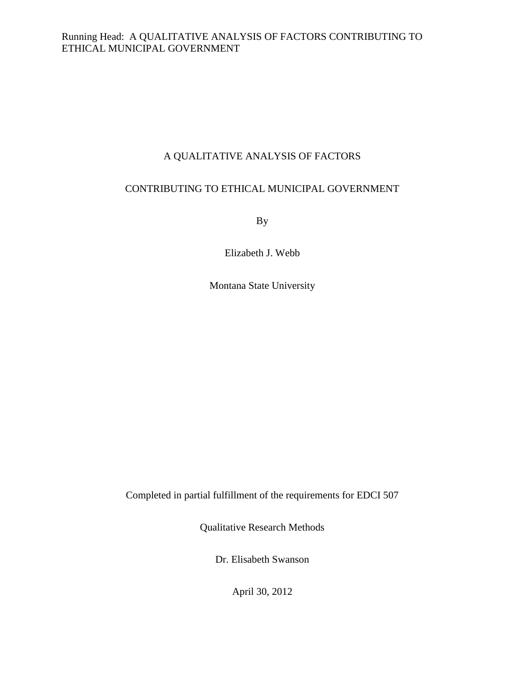# A QUALITATIVE ANALYSIS OF FACTORS

# CONTRIBUTING TO ETHICAL MUNICIPAL GOVERNMENT

By

Elizabeth J. Webb

Montana State University

Completed in partial fulfillment of the requirements for EDCI 507

Qualitative Research Methods

Dr. Elisabeth Swanson

April 30, 2012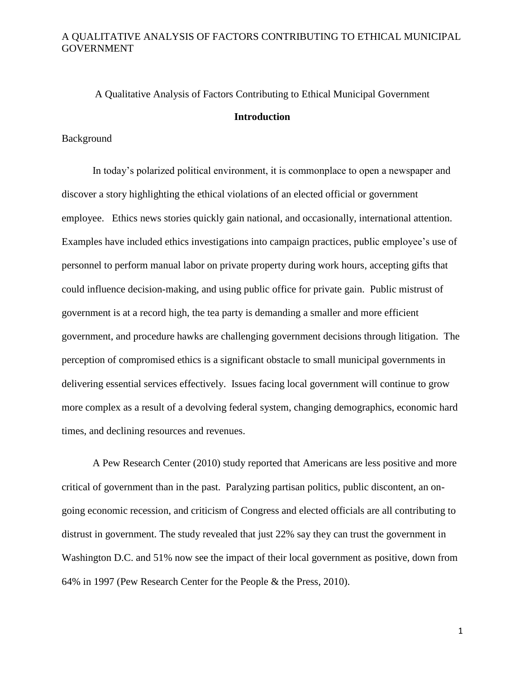# A Qualitative Analysis of Factors Contributing to Ethical Municipal Government **Introduction**

#### Background

In today's polarized political environment, it is commonplace to open a newspaper and discover a story highlighting the ethical violations of an elected official or government employee. Ethics news stories quickly gain national, and occasionally, international attention. Examples have included ethics investigations into campaign practices, public employee's use of personnel to perform manual labor on private property during work hours, accepting gifts that could influence decision-making, and using public office for private gain. Public mistrust of government is at a record high, the tea party is demanding a smaller and more efficient government, and procedure hawks are challenging government decisions through litigation. The perception of compromised ethics is a significant obstacle to small municipal governments in delivering essential services effectively. Issues facing local government will continue to grow more complex as a result of a devolving federal system, changing demographics, economic hard times, and declining resources and revenues.

A Pew Research Center (2010) study reported that Americans are less positive and more critical of government than in the past. Paralyzing partisan politics, public discontent, an ongoing economic recession, and criticism of Congress and elected officials are all contributing to distrust in government. The study revealed that just 22% say they can trust the government in Washington D.C. and 51% now see the impact of their local government as positive, down from 64% in 1997 (Pew Research Center for the People & the Press, 2010).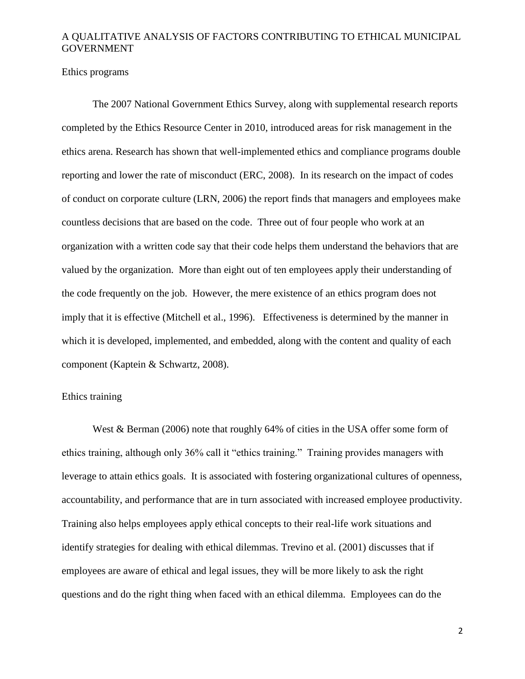Ethics programs

The 2007 National Government Ethics Survey, along with supplemental research reports completed by the Ethics Resource Center in 2010, introduced areas for risk management in the ethics arena. Research has shown that well-implemented ethics and compliance programs double reporting and lower the rate of misconduct (ERC, 2008). In its research on the impact of codes of conduct on corporate culture (LRN, 2006) the report finds that managers and employees make countless decisions that are based on the code. Three out of four people who work at an organization with a written code say that their code helps them understand the behaviors that are valued by the organization. More than eight out of ten employees apply their understanding of the code frequently on the job. However, the mere existence of an ethics program does not imply that it is effective (Mitchell et al., 1996). Effectiveness is determined by the manner in which it is developed, implemented, and embedded, along with the content and quality of each component (Kaptein & Schwartz, 2008).

#### Ethics training

West & Berman (2006) note that roughly 64% of cities in the USA offer some form of ethics training, although only 36% call it "ethics training." Training provides managers with leverage to attain ethics goals. It is associated with fostering organizational cultures of openness, accountability, and performance that are in turn associated with increased employee productivity. Training also helps employees apply ethical concepts to their real-life work situations and identify strategies for dealing with ethical dilemmas. Trevino et al. (2001) discusses that if employees are aware of ethical and legal issues, they will be more likely to ask the right questions and do the right thing when faced with an ethical dilemma. Employees can do the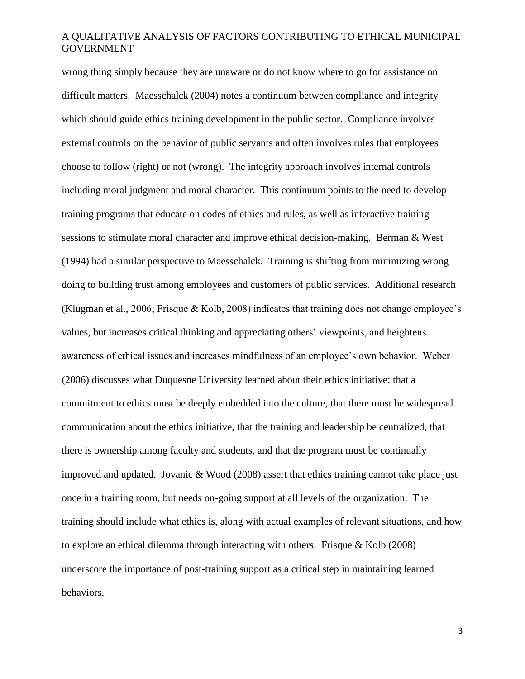wrong thing simply because they are unaware or do not know where to go for assistance on difficult matters. Maesschalck (2004) notes a continuum between compliance and integrity which should guide ethics training development in the public sector. Compliance involves external controls on the behavior of public servants and often involves rules that employees choose to follow (right) or not (wrong). The integrity approach involves internal controls including moral judgment and moral character. This continuum points to the need to develop training programs that educate on codes of ethics and rules, as well as interactive training sessions to stimulate moral character and improve ethical decision-making. Berman & West (1994) had a similar perspective to Maesschalck. Training is shifting from minimizing wrong doing to building trust among employees and customers of public services. Additional research (Klugman et al., 2006; Frisque & Kolb, 2008) indicates that training does not change employee's values, but increases critical thinking and appreciating others' viewpoints, and heightens awareness of ethical issues and increases mindfulness of an employee's own behavior. Weber (2006) discusses what Duquesne University learned about their ethics initiative; that a commitment to ethics must be deeply embedded into the culture, that there must be widespread communication about the ethics initiative, that the training and leadership be centralized, that there is ownership among faculty and students, and that the program must be continually improved and updated. Jovanic & Wood (2008) assert that ethics training cannot take place just once in a training room, but needs on-going support at all levels of the organization. The training should include what ethics is, along with actual examples of relevant situations, and how to explore an ethical dilemma through interacting with others. Frisque & Kolb (2008) underscore the importance of post-training support as a critical step in maintaining learned behaviors.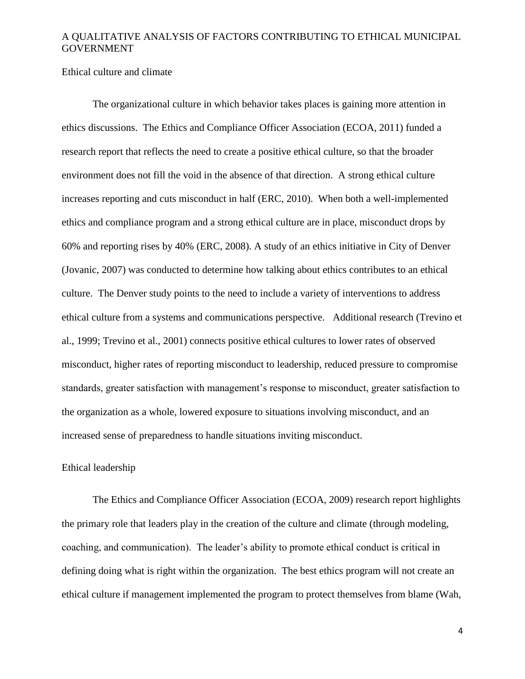#### Ethical culture and climate

The organizational culture in which behavior takes places is gaining more attention in ethics discussions. The Ethics and Compliance Officer Association (ECOA, 2011) funded a research report that reflects the need to create a positive ethical culture, so that the broader environment does not fill the void in the absence of that direction. A strong ethical culture increases reporting and cuts misconduct in half (ERC, 2010). When both a well-implemented ethics and compliance program and a strong ethical culture are in place, misconduct drops by 60% and reporting rises by 40% (ERC, 2008). A study of an ethics initiative in City of Denver (Jovanic, 2007) was conducted to determine how talking about ethics contributes to an ethical culture. The Denver study points to the need to include a variety of interventions to address ethical culture from a systems and communications perspective. Additional research (Trevino et al., 1999; Trevino et al., 2001) connects positive ethical cultures to lower rates of observed misconduct, higher rates of reporting misconduct to leadership, reduced pressure to compromise standards, greater satisfaction with management's response to misconduct, greater satisfaction to the organization as a whole, lowered exposure to situations involving misconduct, and an increased sense of preparedness to handle situations inviting misconduct.

#### Ethical leadership

The Ethics and Compliance Officer Association (ECOA, 2009) research report highlights the primary role that leaders play in the creation of the culture and climate (through modeling, coaching, and communication). The leader's ability to promote ethical conduct is critical in defining doing what is right within the organization. The best ethics program will not create an ethical culture if management implemented the program to protect themselves from blame (Wah,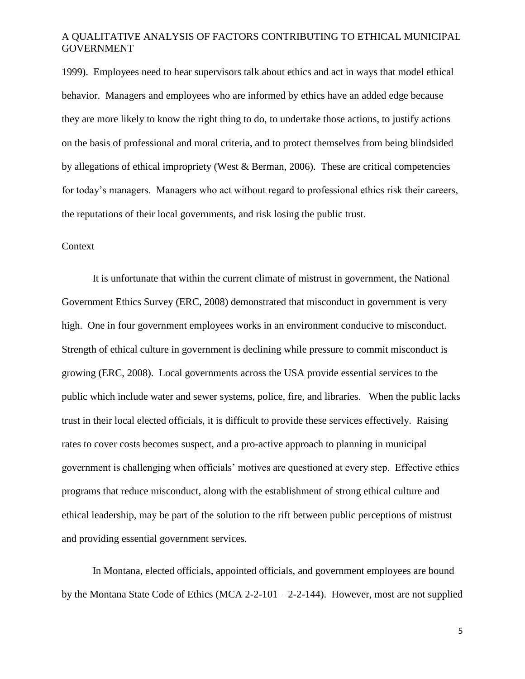1999). Employees need to hear supervisors talk about ethics and act in ways that model ethical behavior. Managers and employees who are informed by ethics have an added edge because they are more likely to know the right thing to do, to undertake those actions, to justify actions on the basis of professional and moral criteria, and to protect themselves from being blindsided by allegations of ethical impropriety (West & Berman, 2006). These are critical competencies for today's managers. Managers who act without regard to professional ethics risk their careers, the reputations of their local governments, and risk losing the public trust.

## Context

It is unfortunate that within the current climate of mistrust in government, the National Government Ethics Survey (ERC, 2008) demonstrated that misconduct in government is very high. One in four government employees works in an environment conducive to misconduct. Strength of ethical culture in government is declining while pressure to commit misconduct is growing (ERC, 2008). Local governments across the USA provide essential services to the public which include water and sewer systems, police, fire, and libraries. When the public lacks trust in their local elected officials, it is difficult to provide these services effectively. Raising rates to cover costs becomes suspect, and a pro-active approach to planning in municipal government is challenging when officials' motives are questioned at every step. Effective ethics programs that reduce misconduct, along with the establishment of strong ethical culture and ethical leadership, may be part of the solution to the rift between public perceptions of mistrust and providing essential government services.

In Montana, elected officials, appointed officials, and government employees are bound by the Montana State Code of Ethics (MCA 2-2-101 – 2-2-144). However, most are not supplied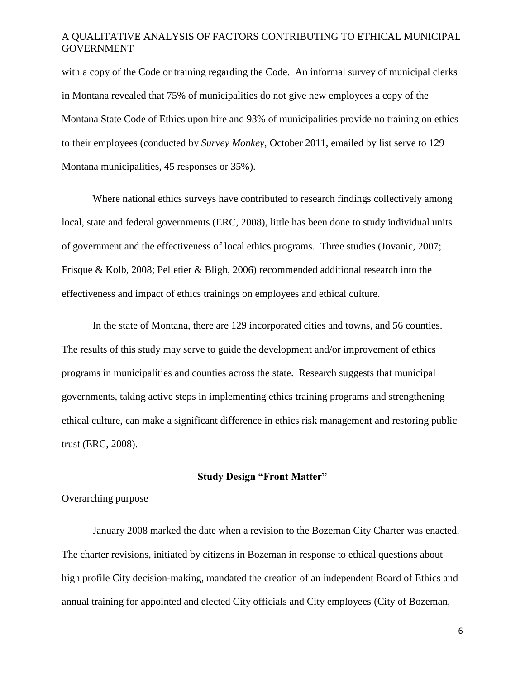with a copy of the Code or training regarding the Code. An informal survey of municipal clerks in Montana revealed that 75% of municipalities do not give new employees a copy of the Montana State Code of Ethics upon hire and 93% of municipalities provide no training on ethics to their employees (conducted by *Survey Monkey*, October 2011, emailed by list serve to 129 Montana municipalities, 45 responses or 35%).

Where national ethics surveys have contributed to research findings collectively among local, state and federal governments (ERC, 2008), little has been done to study individual units of government and the effectiveness of local ethics programs. Three studies (Jovanic, 2007; Frisque & Kolb, 2008; Pelletier & Bligh, 2006) recommended additional research into the effectiveness and impact of ethics trainings on employees and ethical culture.

In the state of Montana, there are 129 incorporated cities and towns, and 56 counties. The results of this study may serve to guide the development and/or improvement of ethics programs in municipalities and counties across the state. Research suggests that municipal governments, taking active steps in implementing ethics training programs and strengthening ethical culture, can make a significant difference in ethics risk management and restoring public trust (ERC, 2008).

#### **Study Design "Front Matter"**

#### Overarching purpose

January 2008 marked the date when a revision to the Bozeman City Charter was enacted. The charter revisions, initiated by citizens in Bozeman in response to ethical questions about high profile City decision-making, mandated the creation of an independent Board of Ethics and annual training for appointed and elected City officials and City employees (City of Bozeman,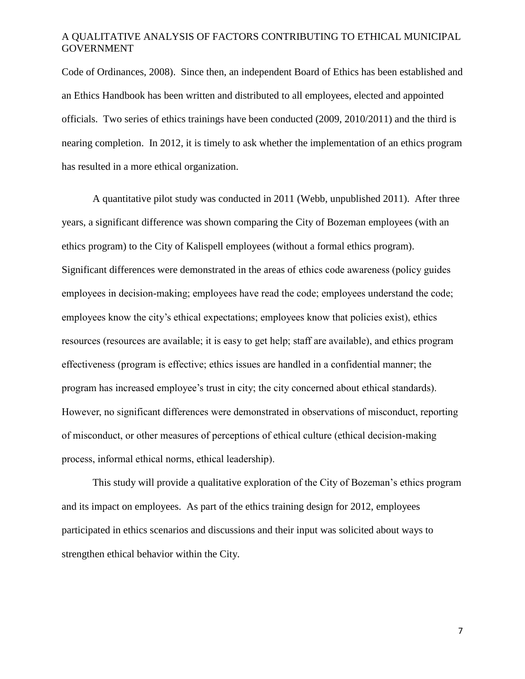Code of Ordinances, 2008). Since then, an independent Board of Ethics has been established and an Ethics Handbook has been written and distributed to all employees, elected and appointed officials. Two series of ethics trainings have been conducted (2009, 2010/2011) and the third is nearing completion. In 2012, it is timely to ask whether the implementation of an ethics program has resulted in a more ethical organization.

A quantitative pilot study was conducted in 2011 (Webb, unpublished 2011). After three years, a significant difference was shown comparing the City of Bozeman employees (with an ethics program) to the City of Kalispell employees (without a formal ethics program). Significant differences were demonstrated in the areas of ethics code awareness (policy guides employees in decision-making; employees have read the code; employees understand the code; employees know the city's ethical expectations; employees know that policies exist), ethics resources (resources are available; it is easy to get help; staff are available), and ethics program effectiveness (program is effective; ethics issues are handled in a confidential manner; the program has increased employee's trust in city; the city concerned about ethical standards). However, no significant differences were demonstrated in observations of misconduct, reporting of misconduct, or other measures of perceptions of ethical culture (ethical decision-making process, informal ethical norms, ethical leadership).

This study will provide a qualitative exploration of the City of Bozeman's ethics program and its impact on employees. As part of the ethics training design for 2012, employees participated in ethics scenarios and discussions and their input was solicited about ways to strengthen ethical behavior within the City.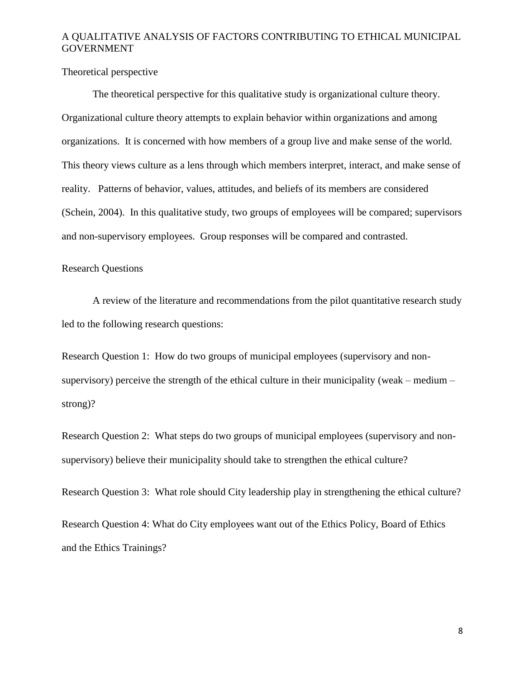Theoretical perspective

The theoretical perspective for this qualitative study is organizational culture theory. Organizational culture theory attempts to explain behavior within organizations and among organizations. It is concerned with how members of a group live and make sense of the world. This theory views culture as a lens through which members interpret, interact, and make sense of reality. Patterns of behavior, values, attitudes, and beliefs of its members are considered (Schein, 2004). In this qualitative study, two groups of employees will be compared; supervisors and non-supervisory employees. Group responses will be compared and contrasted.

#### Research Questions

A review of the literature and recommendations from the pilot quantitative research study led to the following research questions:

Research Question 1: How do two groups of municipal employees (supervisory and nonsupervisory) perceive the strength of the ethical culture in their municipality (weak – medium – strong)?

Research Question 2: What steps do two groups of municipal employees (supervisory and nonsupervisory) believe their municipality should take to strengthen the ethical culture?

Research Question 3: What role should City leadership play in strengthening the ethical culture?

Research Question 4: What do City employees want out of the Ethics Policy, Board of Ethics and the Ethics Trainings?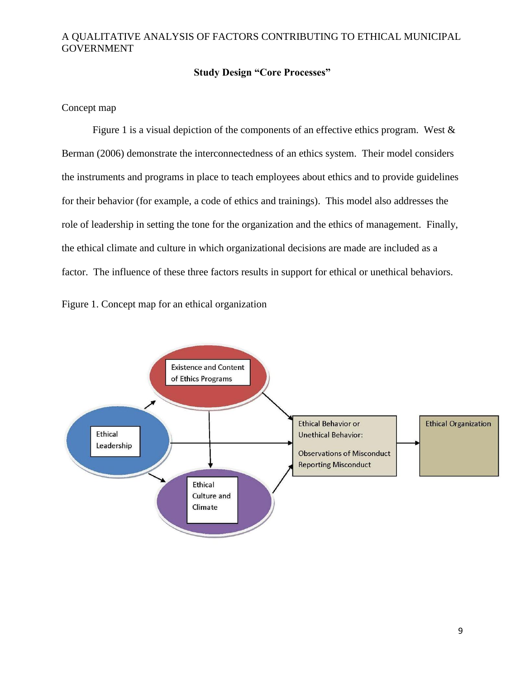#### **Study Design "Core Processes"**

#### Concept map

Figure 1 is a visual depiction of the components of an effective ethics program. West  $\&$ Berman (2006) demonstrate the interconnectedness of an ethics system. Their model considers the instruments and programs in place to teach employees about ethics and to provide guidelines for their behavior (for example, a code of ethics and trainings). This model also addresses the role of leadership in setting the tone for the organization and the ethics of management. Finally, the ethical climate and culture in which organizational decisions are made are included as a factor. The influence of these three factors results in support for ethical or unethical behaviors.



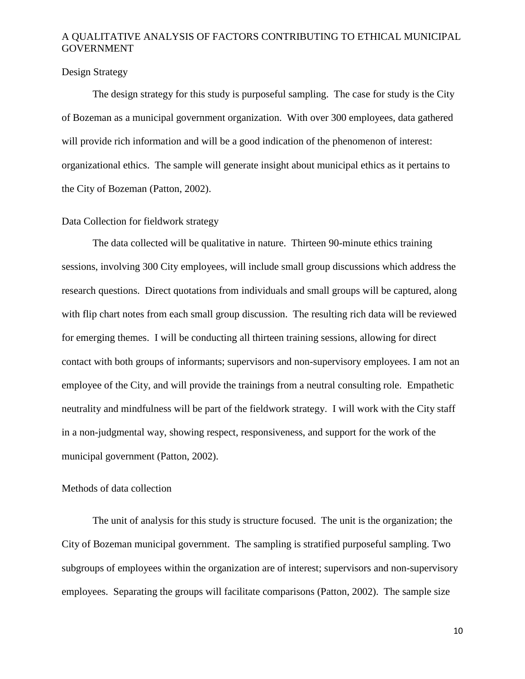#### Design Strategy

The design strategy for this study is purposeful sampling. The case for study is the City of Bozeman as a municipal government organization. With over 300 employees, data gathered will provide rich information and will be a good indication of the phenomenon of interest: organizational ethics. The sample will generate insight about municipal ethics as it pertains to the City of Bozeman (Patton, 2002).

#### Data Collection for fieldwork strategy

The data collected will be qualitative in nature. Thirteen 90-minute ethics training sessions, involving 300 City employees, will include small group discussions which address the research questions. Direct quotations from individuals and small groups will be captured, along with flip chart notes from each small group discussion. The resulting rich data will be reviewed for emerging themes. I will be conducting all thirteen training sessions, allowing for direct contact with both groups of informants; supervisors and non-supervisory employees. I am not an employee of the City, and will provide the trainings from a neutral consulting role. Empathetic neutrality and mindfulness will be part of the fieldwork strategy. I will work with the City staff in a non-judgmental way, showing respect, responsiveness, and support for the work of the municipal government (Patton, 2002).

#### Methods of data collection

The unit of analysis for this study is structure focused. The unit is the organization; the City of Bozeman municipal government. The sampling is stratified purposeful sampling. Two subgroups of employees within the organization are of interest; supervisors and non-supervisory employees. Separating the groups will facilitate comparisons (Patton, 2002). The sample size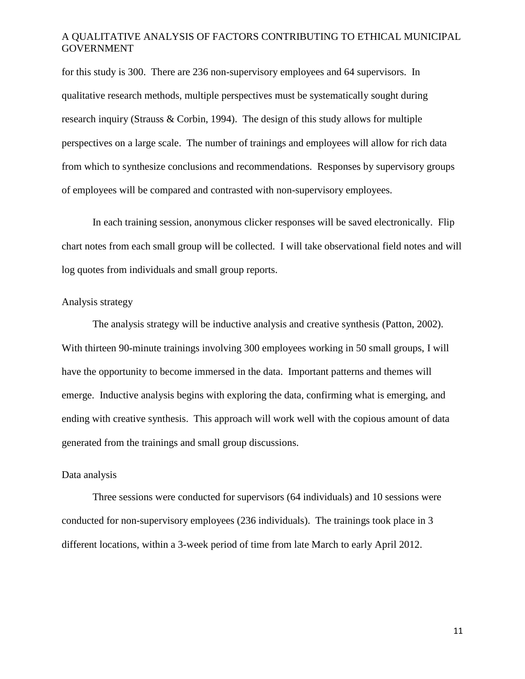for this study is 300. There are 236 non-supervisory employees and 64 supervisors. In qualitative research methods, multiple perspectives must be systematically sought during research inquiry (Strauss & Corbin, 1994). The design of this study allows for multiple perspectives on a large scale. The number of trainings and employees will allow for rich data from which to synthesize conclusions and recommendations. Responses by supervisory groups of employees will be compared and contrasted with non-supervisory employees.

In each training session, anonymous clicker responses will be saved electronically. Flip chart notes from each small group will be collected. I will take observational field notes and will log quotes from individuals and small group reports.

#### Analysis strategy

The analysis strategy will be inductive analysis and creative synthesis (Patton, 2002). With thirteen 90-minute trainings involving 300 employees working in 50 small groups, I will have the opportunity to become immersed in the data. Important patterns and themes will emerge. Inductive analysis begins with exploring the data, confirming what is emerging, and ending with creative synthesis. This approach will work well with the copious amount of data generated from the trainings and small group discussions.

#### Data analysis

Three sessions were conducted for supervisors (64 individuals) and 10 sessions were conducted for non-supervisory employees (236 individuals). The trainings took place in 3 different locations, within a 3-week period of time from late March to early April 2012.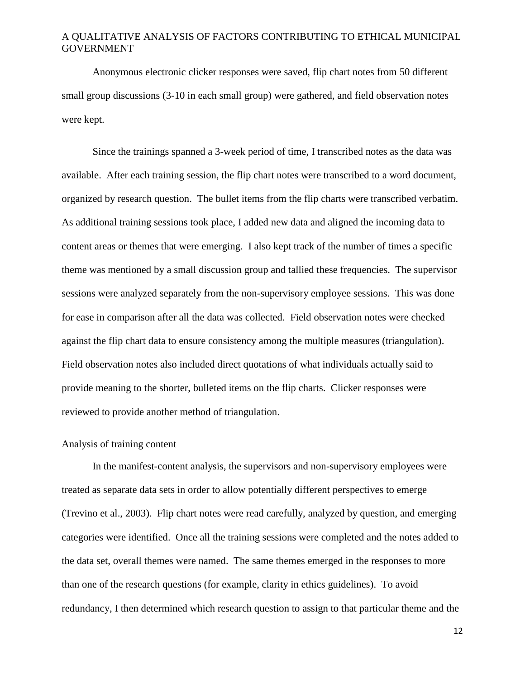Anonymous electronic clicker responses were saved, flip chart notes from 50 different small group discussions (3-10 in each small group) were gathered, and field observation notes were kept.

Since the trainings spanned a 3-week period of time, I transcribed notes as the data was available. After each training session, the flip chart notes were transcribed to a word document, organized by research question. The bullet items from the flip charts were transcribed verbatim. As additional training sessions took place, I added new data and aligned the incoming data to content areas or themes that were emerging. I also kept track of the number of times a specific theme was mentioned by a small discussion group and tallied these frequencies. The supervisor sessions were analyzed separately from the non-supervisory employee sessions. This was done for ease in comparison after all the data was collected. Field observation notes were checked against the flip chart data to ensure consistency among the multiple measures (triangulation). Field observation notes also included direct quotations of what individuals actually said to provide meaning to the shorter, bulleted items on the flip charts. Clicker responses were reviewed to provide another method of triangulation.

#### Analysis of training content

In the manifest-content analysis, the supervisors and non-supervisory employees were treated as separate data sets in order to allow potentially different perspectives to emerge (Trevino et al., 2003). Flip chart notes were read carefully, analyzed by question, and emerging categories were identified. Once all the training sessions were completed and the notes added to the data set, overall themes were named. The same themes emerged in the responses to more than one of the research questions (for example, clarity in ethics guidelines). To avoid redundancy, I then determined which research question to assign to that particular theme and the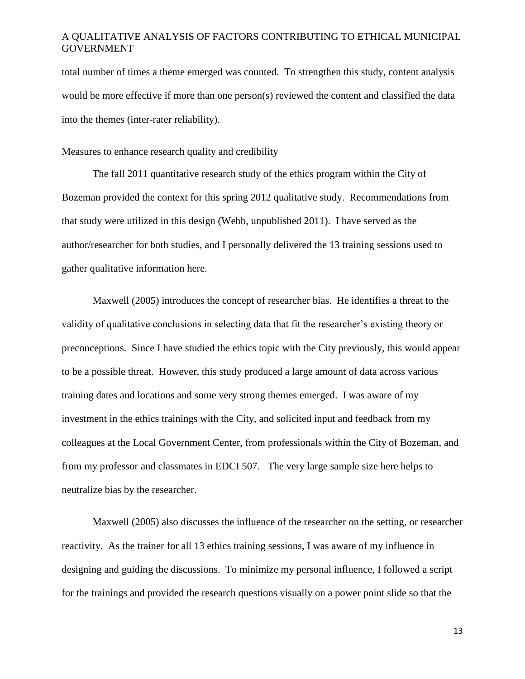total number of times a theme emerged was counted. To strengthen this study, content analysis would be more effective if more than one person(s) reviewed the content and classified the data into the themes (inter-rater reliability).

Measures to enhance research quality and credibility

The fall 2011 quantitative research study of the ethics program within the City of Bozeman provided the context for this spring 2012 qualitative study. Recommendations from that study were utilized in this design (Webb, unpublished 2011). I have served as the author/researcher for both studies, and I personally delivered the 13 training sessions used to gather qualitative information here.

Maxwell (2005) introduces the concept of researcher bias. He identifies a threat to the validity of qualitative conclusions in selecting data that fit the researcher's existing theory or preconceptions. Since I have studied the ethics topic with the City previously, this would appear to be a possible threat. However, this study produced a large amount of data across various training dates and locations and some very strong themes emerged. I was aware of my investment in the ethics trainings with the City, and solicited input and feedback from my colleagues at the Local Government Center, from professionals within the City of Bozeman, and from my professor and classmates in EDCI 507. The very large sample size here helps to neutralize bias by the researcher.

Maxwell (2005) also discusses the influence of the researcher on the setting, or researcher reactivity. As the trainer for all 13 ethics training sessions, I was aware of my influence in designing and guiding the discussions. To minimize my personal influence, I followed a script for the trainings and provided the research questions visually on a power point slide so that the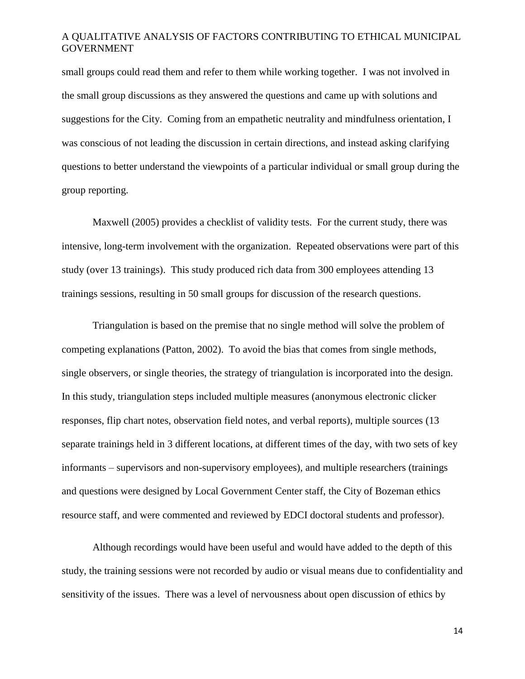small groups could read them and refer to them while working together. I was not involved in the small group discussions as they answered the questions and came up with solutions and suggestions for the City. Coming from an empathetic neutrality and mindfulness orientation, I was conscious of not leading the discussion in certain directions, and instead asking clarifying questions to better understand the viewpoints of a particular individual or small group during the group reporting.

Maxwell (2005) provides a checklist of validity tests. For the current study, there was intensive, long-term involvement with the organization. Repeated observations were part of this study (over 13 trainings). This study produced rich data from 300 employees attending 13 trainings sessions, resulting in 50 small groups for discussion of the research questions.

Triangulation is based on the premise that no single method will solve the problem of competing explanations (Patton, 2002). To avoid the bias that comes from single methods, single observers, or single theories, the strategy of triangulation is incorporated into the design. In this study, triangulation steps included multiple measures (anonymous electronic clicker responses, flip chart notes, observation field notes, and verbal reports), multiple sources (13 separate trainings held in 3 different locations, at different times of the day, with two sets of key informants – supervisors and non-supervisory employees), and multiple researchers (trainings and questions were designed by Local Government Center staff, the City of Bozeman ethics resource staff, and were commented and reviewed by EDCI doctoral students and professor).

Although recordings would have been useful and would have added to the depth of this study, the training sessions were not recorded by audio or visual means due to confidentiality and sensitivity of the issues. There was a level of nervousness about open discussion of ethics by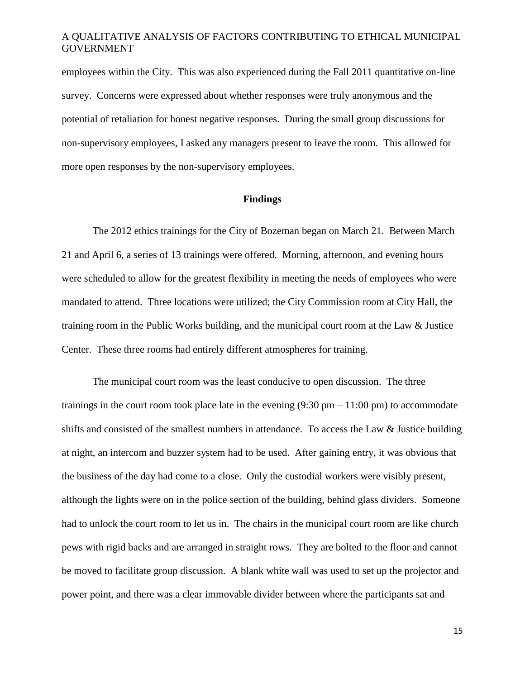employees within the City. This was also experienced during the Fall 2011 quantitative on-line survey. Concerns were expressed about whether responses were truly anonymous and the potential of retaliation for honest negative responses. During the small group discussions for non-supervisory employees, I asked any managers present to leave the room. This allowed for more open responses by the non-supervisory employees.

#### **Findings**

The 2012 ethics trainings for the City of Bozeman began on March 21. Between March 21 and April 6, a series of 13 trainings were offered. Morning, afternoon, and evening hours were scheduled to allow for the greatest flexibility in meeting the needs of employees who were mandated to attend. Three locations were utilized; the City Commission room at City Hall, the training room in the Public Works building, and the municipal court room at the Law & Justice Center. These three rooms had entirely different atmospheres for training.

The municipal court room was the least conducive to open discussion. The three trainings in the court room took place late in the evening  $(9:30 \text{ pm} - 11:00 \text{ pm})$  to accommodate shifts and consisted of the smallest numbers in attendance. To access the Law & Justice building at night, an intercom and buzzer system had to be used. After gaining entry, it was obvious that the business of the day had come to a close. Only the custodial workers were visibly present, although the lights were on in the police section of the building, behind glass dividers. Someone had to unlock the court room to let us in. The chairs in the municipal court room are like church pews with rigid backs and are arranged in straight rows. They are bolted to the floor and cannot be moved to facilitate group discussion. A blank white wall was used to set up the projector and power point, and there was a clear immovable divider between where the participants sat and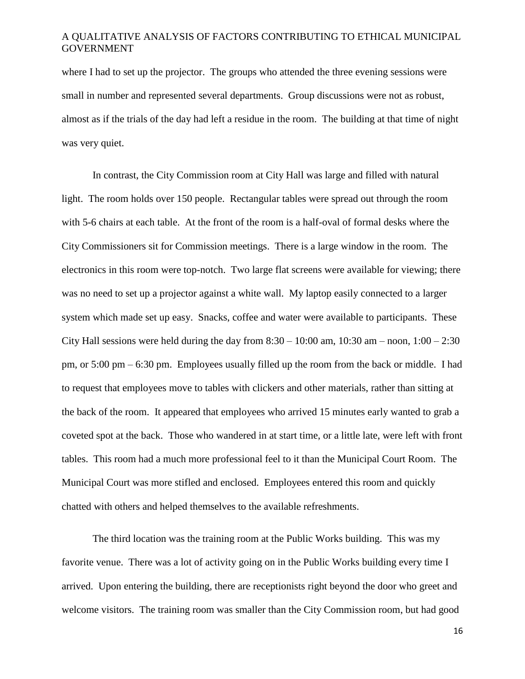where I had to set up the projector. The groups who attended the three evening sessions were small in number and represented several departments. Group discussions were not as robust, almost as if the trials of the day had left a residue in the room. The building at that time of night was very quiet.

In contrast, the City Commission room at City Hall was large and filled with natural light. The room holds over 150 people. Rectangular tables were spread out through the room with 5-6 chairs at each table. At the front of the room is a half-oval of formal desks where the City Commissioners sit for Commission meetings. There is a large window in the room. The electronics in this room were top-notch. Two large flat screens were available for viewing; there was no need to set up a projector against a white wall. My laptop easily connected to a larger system which made set up easy. Snacks, coffee and water were available to participants. These City Hall sessions were held during the day from  $8:30 - 10:00$  am,  $10:30$  am – noon,  $1:00 - 2:30$ pm, or 5:00 pm – 6:30 pm. Employees usually filled up the room from the back or middle. I had to request that employees move to tables with clickers and other materials, rather than sitting at the back of the room. It appeared that employees who arrived 15 minutes early wanted to grab a coveted spot at the back. Those who wandered in at start time, or a little late, were left with front tables. This room had a much more professional feel to it than the Municipal Court Room. The Municipal Court was more stifled and enclosed. Employees entered this room and quickly chatted with others and helped themselves to the available refreshments.

The third location was the training room at the Public Works building. This was my favorite venue. There was a lot of activity going on in the Public Works building every time I arrived. Upon entering the building, there are receptionists right beyond the door who greet and welcome visitors. The training room was smaller than the City Commission room, but had good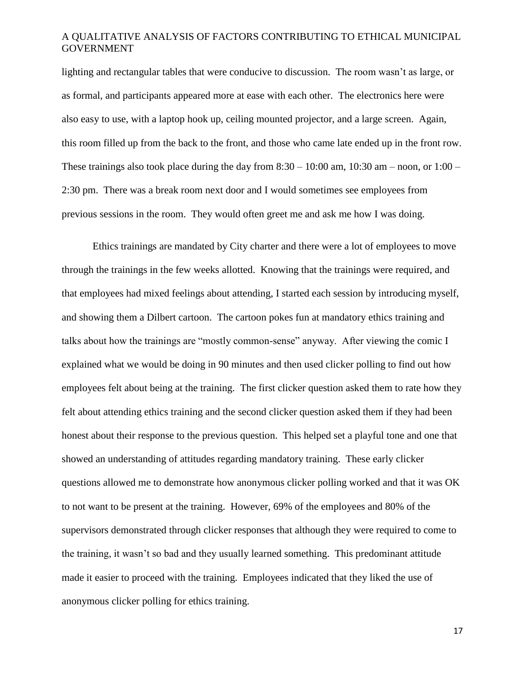lighting and rectangular tables that were conducive to discussion. The room wasn't as large, or as formal, and participants appeared more at ease with each other. The electronics here were also easy to use, with a laptop hook up, ceiling mounted projector, and a large screen. Again, this room filled up from the back to the front, and those who came late ended up in the front row. These trainings also took place during the day from  $8:30 - 10:00$  am,  $10:30$  am – noon, or  $1:00 -$ 2:30 pm. There was a break room next door and I would sometimes see employees from previous sessions in the room. They would often greet me and ask me how I was doing.

Ethics trainings are mandated by City charter and there were a lot of employees to move through the trainings in the few weeks allotted. Knowing that the trainings were required, and that employees had mixed feelings about attending, I started each session by introducing myself, and showing them a Dilbert cartoon. The cartoon pokes fun at mandatory ethics training and talks about how the trainings are "mostly common-sense" anyway. After viewing the comic I explained what we would be doing in 90 minutes and then used clicker polling to find out how employees felt about being at the training. The first clicker question asked them to rate how they felt about attending ethics training and the second clicker question asked them if they had been honest about their response to the previous question. This helped set a playful tone and one that showed an understanding of attitudes regarding mandatory training. These early clicker questions allowed me to demonstrate how anonymous clicker polling worked and that it was OK to not want to be present at the training. However, 69% of the employees and 80% of the supervisors demonstrated through clicker responses that although they were required to come to the training, it wasn't so bad and they usually learned something. This predominant attitude made it easier to proceed with the training. Employees indicated that they liked the use of anonymous clicker polling for ethics training.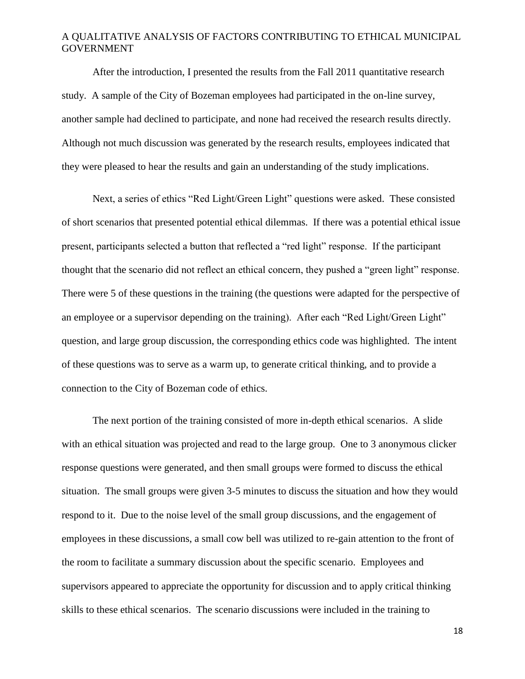After the introduction, I presented the results from the Fall 2011 quantitative research study. A sample of the City of Bozeman employees had participated in the on-line survey, another sample had declined to participate, and none had received the research results directly. Although not much discussion was generated by the research results, employees indicated that they were pleased to hear the results and gain an understanding of the study implications.

Next, a series of ethics "Red Light/Green Light" questions were asked. These consisted of short scenarios that presented potential ethical dilemmas. If there was a potential ethical issue present, participants selected a button that reflected a "red light" response. If the participant thought that the scenario did not reflect an ethical concern, they pushed a "green light" response. There were 5 of these questions in the training (the questions were adapted for the perspective of an employee or a supervisor depending on the training). After each "Red Light/Green Light" question, and large group discussion, the corresponding ethics code was highlighted. The intent of these questions was to serve as a warm up, to generate critical thinking, and to provide a connection to the City of Bozeman code of ethics.

The next portion of the training consisted of more in-depth ethical scenarios. A slide with an ethical situation was projected and read to the large group. One to 3 anonymous clicker response questions were generated, and then small groups were formed to discuss the ethical situation. The small groups were given 3-5 minutes to discuss the situation and how they would respond to it. Due to the noise level of the small group discussions, and the engagement of employees in these discussions, a small cow bell was utilized to re-gain attention to the front of the room to facilitate a summary discussion about the specific scenario. Employees and supervisors appeared to appreciate the opportunity for discussion and to apply critical thinking skills to these ethical scenarios. The scenario discussions were included in the training to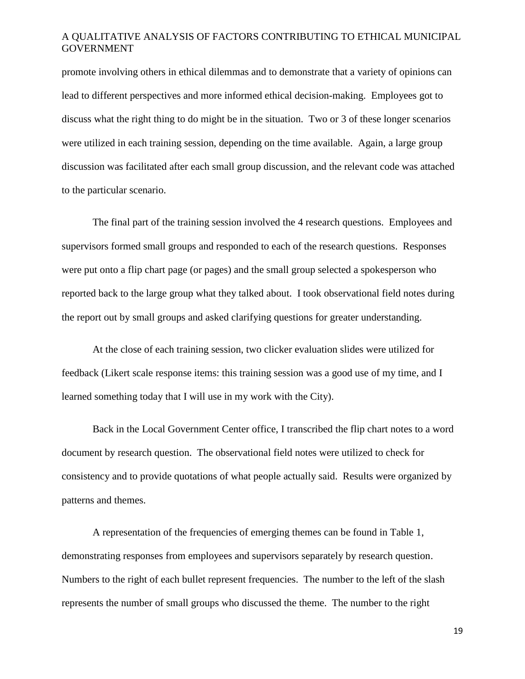promote involving others in ethical dilemmas and to demonstrate that a variety of opinions can lead to different perspectives and more informed ethical decision-making. Employees got to discuss what the right thing to do might be in the situation. Two or 3 of these longer scenarios were utilized in each training session, depending on the time available. Again, a large group discussion was facilitated after each small group discussion, and the relevant code was attached to the particular scenario.

The final part of the training session involved the 4 research questions. Employees and supervisors formed small groups and responded to each of the research questions. Responses were put onto a flip chart page (or pages) and the small group selected a spokesperson who reported back to the large group what they talked about. I took observational field notes during the report out by small groups and asked clarifying questions for greater understanding.

At the close of each training session, two clicker evaluation slides were utilized for feedback (Likert scale response items: this training session was a good use of my time, and I learned something today that I will use in my work with the City).

Back in the Local Government Center office, I transcribed the flip chart notes to a word document by research question. The observational field notes were utilized to check for consistency and to provide quotations of what people actually said. Results were organized by patterns and themes.

A representation of the frequencies of emerging themes can be found in Table 1, demonstrating responses from employees and supervisors separately by research question. Numbers to the right of each bullet represent frequencies. The number to the left of the slash represents the number of small groups who discussed the theme. The number to the right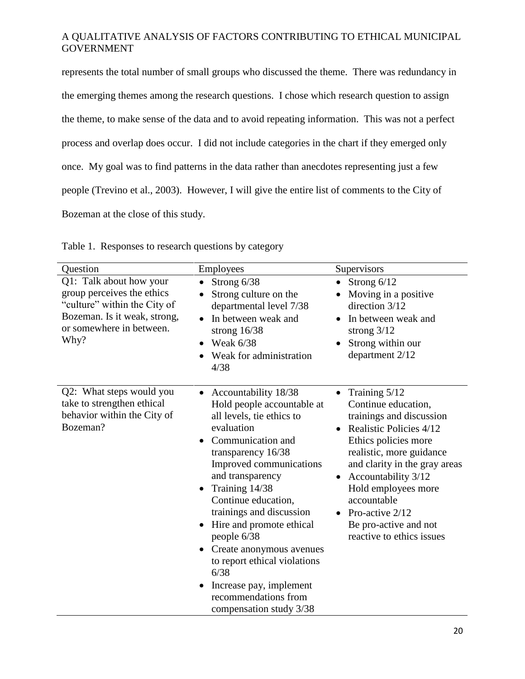represents the total number of small groups who discussed the theme. There was redundancy in the emerging themes among the research questions. I chose which research question to assign the theme, to make sense of the data and to avoid repeating information. This was not a perfect process and overlap does occur. I did not include categories in the chart if they emerged only once. My goal was to find patterns in the data rather than anecdotes representing just a few people (Trevino et al., 2003). However, I will give the entire list of comments to the City of Bozeman at the close of this study.

| Question                                                                                                                                                  | Employees                                                                                                                                                                                                                                                                                                                                                                                                                                                 | Supervisors                                                                                                                                                                                                                                                                                                                         |
|-----------------------------------------------------------------------------------------------------------------------------------------------------------|-----------------------------------------------------------------------------------------------------------------------------------------------------------------------------------------------------------------------------------------------------------------------------------------------------------------------------------------------------------------------------------------------------------------------------------------------------------|-------------------------------------------------------------------------------------------------------------------------------------------------------------------------------------------------------------------------------------------------------------------------------------------------------------------------------------|
| Q1: Talk about how your<br>group perceives the ethics<br>"culture" within the City of<br>Bozeman. Is it weak, strong,<br>or somewhere in between.<br>Why? | Strong 6/38<br>$\bullet$<br>Strong culture on the<br>departmental level 7/38<br>In between weak and<br>strong $16/38$<br>Weak 6/38<br>Weak for administration<br>4/38                                                                                                                                                                                                                                                                                     | Strong 6/12<br>$\bullet$<br>Moving in a positive<br>direction 3/12<br>In between weak and<br>strong $3/12$<br>Strong within our<br>department 2/12                                                                                                                                                                                  |
| Q2: What steps would you<br>take to strengthen ethical<br>behavior within the City of<br>Bozeman?                                                         | Accountability 18/38<br>Hold people accountable at<br>all levels, tie ethics to<br>evaluation<br>Communication and<br>transparency 16/38<br>Improved communications<br>and transparency<br>Training 14/38<br>Continue education,<br>trainings and discussion<br>Hire and promote ethical<br>people 6/38<br>Create anonymous avenues<br>to report ethical violations<br>6/38<br>Increase pay, implement<br>recommendations from<br>compensation study 3/38 | Training 5/12<br>Continue education,<br>trainings and discussion<br>Realistic Policies 4/12<br>Ethics policies more<br>realistic, more guidance<br>and clarity in the gray areas<br>Accountability 3/12<br>$\bullet$<br>Hold employees more<br>accountable<br>Pro-active 2/12<br>Be pro-active and not<br>reactive to ethics issues |

Table 1. Responses to research questions by category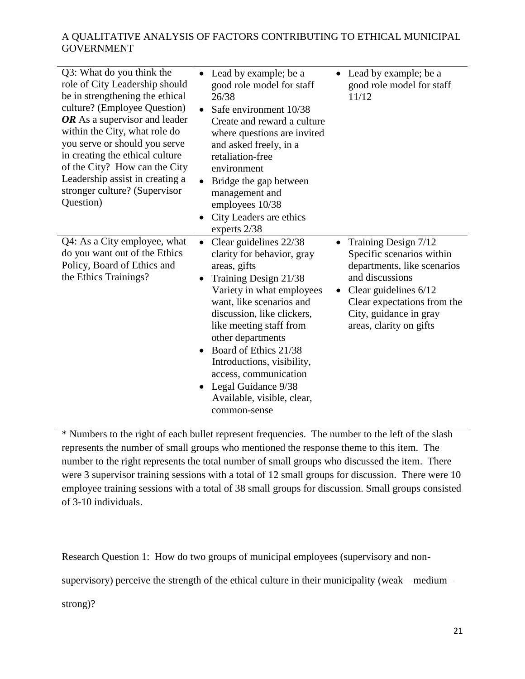| Q3: What do you think the<br>role of City Leadership should<br>be in strengthening the ethical<br>culture? (Employee Question)<br>OR As a supervisor and leader<br>within the City, what role do<br>you serve or should you serve<br>in creating the ethical culture<br>of the City? How can the City<br>Leadership assist in creating a<br>stronger culture? (Supervisor<br>Question) | Lead by example; be a<br>good role model for staff<br>26/38<br>Safe environment 10/38<br>Create and reward a culture<br>where questions are invited<br>and asked freely, in a<br>retaliation-free<br>environment<br>Bridge the gap between<br>management and<br>employees 10/38<br>City Leaders are ethics<br>experts 2/38                                                                                          | Lead by example; be a<br>good role model for staff<br>11/12                                                                                                                                                        |
|----------------------------------------------------------------------------------------------------------------------------------------------------------------------------------------------------------------------------------------------------------------------------------------------------------------------------------------------------------------------------------------|---------------------------------------------------------------------------------------------------------------------------------------------------------------------------------------------------------------------------------------------------------------------------------------------------------------------------------------------------------------------------------------------------------------------|--------------------------------------------------------------------------------------------------------------------------------------------------------------------------------------------------------------------|
| Q4: As a City employee, what<br>do you want out of the Ethics<br>Policy, Board of Ethics and<br>the Ethics Trainings?                                                                                                                                                                                                                                                                  | Clear guidelines 22/38<br>$\bullet$<br>clarity for behavior, gray<br>areas, gifts<br>Training Design 21/38<br>Variety in what employees<br>want, like scenarios and<br>discussion, like clickers,<br>like meeting staff from<br>other departments<br>Board of Ethics 21/38<br>Introductions, visibility,<br>access, communication<br>Legal Guidance 9/38<br>$\bullet$<br>Available, visible, clear,<br>common-sense | Training Design 7/12<br>Specific scenarios within<br>departments, like scenarios<br>and discussions<br>Clear guidelines $6/12$<br>Clear expectations from the<br>City, guidance in gray<br>areas, clarity on gifts |

\* Numbers to the right of each bullet represent frequencies. The number to the left of the slash represents the number of small groups who mentioned the response theme to this item. The number to the right represents the total number of small groups who discussed the item. There were 3 supervisor training sessions with a total of 12 small groups for discussion. There were 10 employee training sessions with a total of 38 small groups for discussion. Small groups consisted of 3-10 individuals.

Research Question 1: How do two groups of municipal employees (supervisory and non-

supervisory) perceive the strength of the ethical culture in their municipality (weak – medium –

strong)?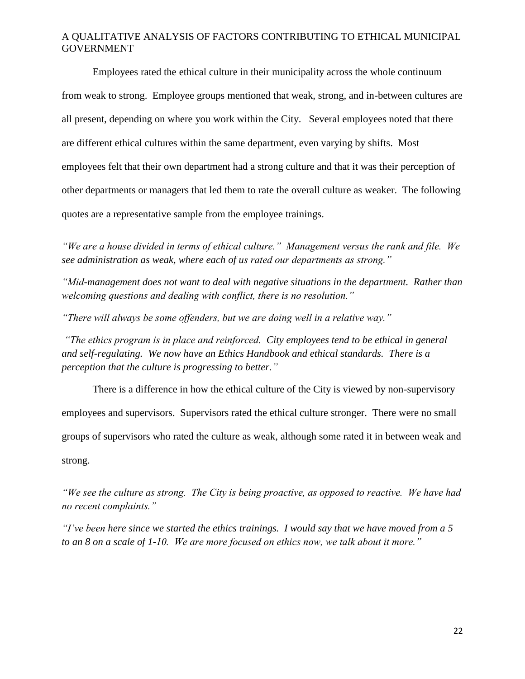Employees rated the ethical culture in their municipality across the whole continuum from weak to strong. Employee groups mentioned that weak, strong, and in-between cultures are all present, depending on where you work within the City. Several employees noted that there are different ethical cultures within the same department, even varying by shifts. Most employees felt that their own department had a strong culture and that it was their perception of other departments or managers that led them to rate the overall culture as weaker. The following quotes are a representative sample from the employee trainings.

*"We are a house divided in terms of ethical culture." Management versus the rank and file. We see administration as weak, where each of us rated our departments as strong."*

*"Mid-management does not want to deal with negative situations in the department. Rather than welcoming questions and dealing with conflict, there is no resolution."*

*"There will always be some offenders, but we are doing well in a relative way."*

*"The ethics program is in place and reinforced. City employees tend to be ethical in general and self-regulating. We now have an Ethics Handbook and ethical standards. There is a perception that the culture is progressing to better."*

There is a difference in how the ethical culture of the City is viewed by non-supervisory employees and supervisors. Supervisors rated the ethical culture stronger. There were no small groups of supervisors who rated the culture as weak, although some rated it in between weak and strong.

*"We see the culture as strong. The City is being proactive, as opposed to reactive. We have had no recent complaints."*

*"I've been here since we started the ethics trainings. I would say that we have moved from a 5 to an 8 on a scale of 1-10. We are more focused on ethics now, we talk about it more."*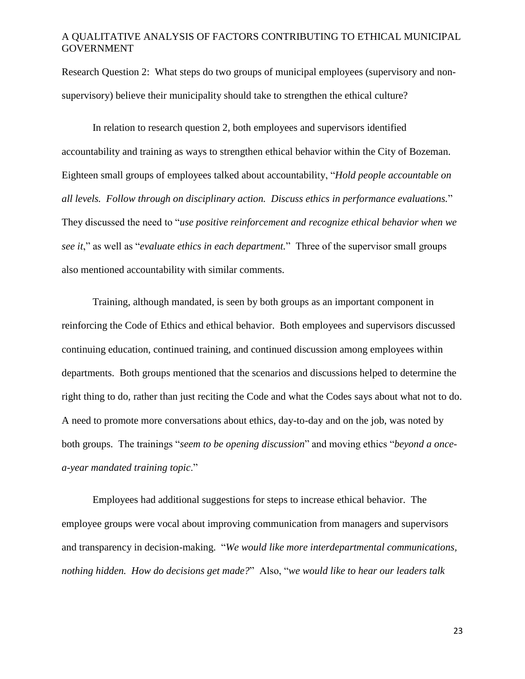Research Question 2: What steps do two groups of municipal employees (supervisory and nonsupervisory) believe their municipality should take to strengthen the ethical culture?

In relation to research question 2, both employees and supervisors identified accountability and training as ways to strengthen ethical behavior within the City of Bozeman. Eighteen small groups of employees talked about accountability, "*Hold people accountable on all levels. Follow through on disciplinary action. Discuss ethics in performance evaluations.*" They discussed the need to "*use positive reinforcement and recognize ethical behavior when we see it*," as well as "*evaluate ethics in each department.*" Three of the supervisor small groups also mentioned accountability with similar comments.

Training, although mandated, is seen by both groups as an important component in reinforcing the Code of Ethics and ethical behavior. Both employees and supervisors discussed continuing education, continued training, and continued discussion among employees within departments. Both groups mentioned that the scenarios and discussions helped to determine the right thing to do, rather than just reciting the Code and what the Codes says about what not to do. A need to promote more conversations about ethics, day-to-day and on the job, was noted by both groups. The trainings "*seem to be opening discussion*" and moving ethics "*beyond a oncea-year mandated training topic*."

Employees had additional suggestions for steps to increase ethical behavior. The employee groups were vocal about improving communication from managers and supervisors and transparency in decision-making. "*We would like more interdepartmental communications, nothing hidden. How do decisions get made?*" Also, "*we would like to hear our leaders talk*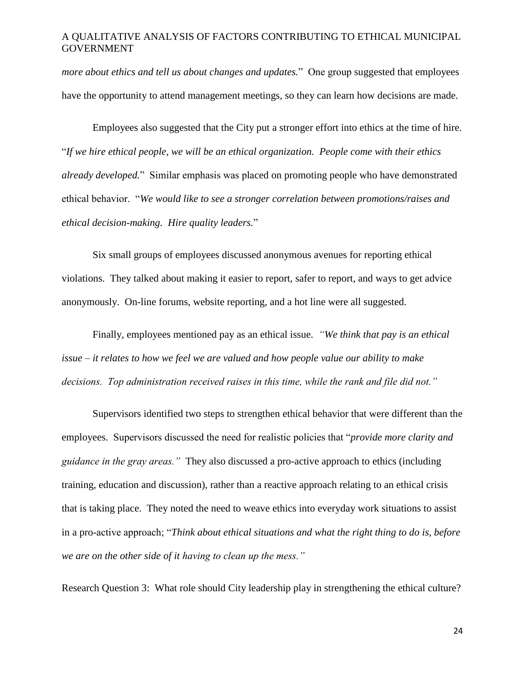*more about ethics and tell us about changes and updates.*" One group suggested that employees have the opportunity to attend management meetings, so they can learn how decisions are made.

Employees also suggested that the City put a stronger effort into ethics at the time of hire. "*If we hire ethical people, we will be an ethical organization. People come with their ethics already developed.*" Similar emphasis was placed on promoting people who have demonstrated ethical behavior. "*We would like to see a stronger correlation between promotions/raises and ethical decision-making. Hire quality leaders.*"

Six small groups of employees discussed anonymous avenues for reporting ethical violations. They talked about making it easier to report, safer to report, and ways to get advice anonymously. On-line forums, website reporting, and a hot line were all suggested.

Finally, employees mentioned pay as an ethical issue. *"We think that pay is an ethical issue – it relates to how we feel we are valued and how people value our ability to make decisions. Top administration received raises in this time, while the rank and file did not."*

Supervisors identified two steps to strengthen ethical behavior that were different than the employees. Supervisors discussed the need for realistic policies that "*provide more clarity and guidance in the gray areas."* They also discussed a pro-active approach to ethics (including training, education and discussion), rather than a reactive approach relating to an ethical crisis that is taking place. They noted the need to weave ethics into everyday work situations to assist in a pro-active approach; "*Think about ethical situations and what the right thing to do is, before we are on the other side of it having to clean up the mess."*

Research Question 3: What role should City leadership play in strengthening the ethical culture?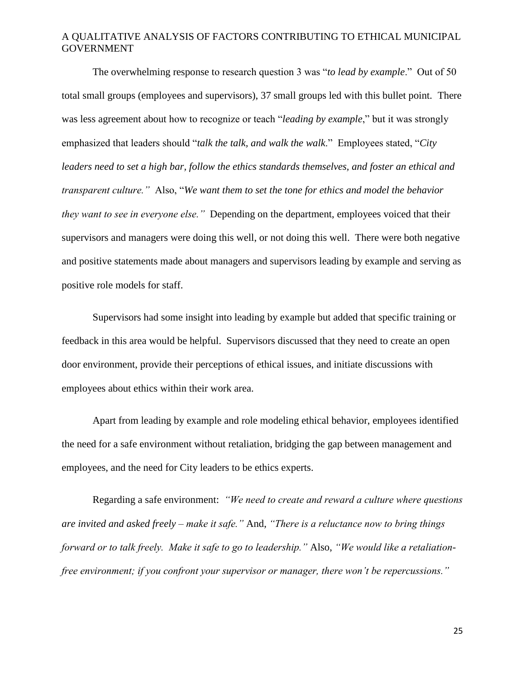The overwhelming response to research question 3 was "*to lead by example*." Out of 50 total small groups (employees and supervisors), 37 small groups led with this bullet point. There was less agreement about how to recognize or teach "*leading by example*," but it was strongly emphasized that leaders should "*talk the talk, and walk the walk*." Employees stated, "*City leaders need to set a high bar, follow the ethics standards themselves, and foster an ethical and transparent culture."* Also, "*We want them to set the tone for ethics and model the behavior they want to see in everyone else."* Depending on the department, employees voiced that their supervisors and managers were doing this well, or not doing this well. There were both negative and positive statements made about managers and supervisors leading by example and serving as positive role models for staff.

Supervisors had some insight into leading by example but added that specific training or feedback in this area would be helpful. Supervisors discussed that they need to create an open door environment, provide their perceptions of ethical issues, and initiate discussions with employees about ethics within their work area.

Apart from leading by example and role modeling ethical behavior, employees identified the need for a safe environment without retaliation, bridging the gap between management and employees, and the need for City leaders to be ethics experts.

Regarding a safe environment: *"We need to create and reward a culture where questions are invited and asked freely – make it safe."* And, *"There is a reluctance now to bring things forward or to talk freely. Make it safe to go to leadership."* Also, *"We would like a retaliationfree environment; if you confront your supervisor or manager, there won't be repercussions."*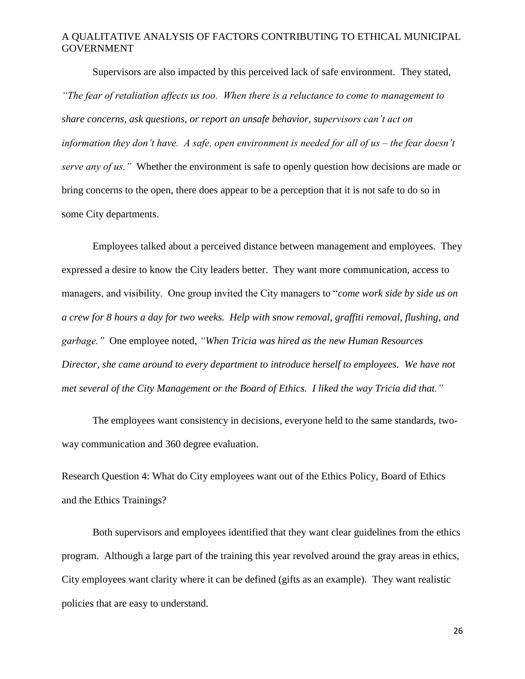Supervisors are also impacted by this perceived lack of safe environment. They stated, *"The fear of retaliation affects us too. When there is a reluctance to come to management to share concerns, ask questions, or report an unsafe behavior, supervisors can't act on information they don't have. A safe, open environment is needed for all of us – the fear doesn't serve any of us."* Whether the environment is safe to openly question how decisions are made or bring concerns to the open, there does appear to be a perception that it is not safe to do so in some City departments.

Employees talked about a perceived distance between management and employees. They expressed a desire to know the City leaders better. They want more communication, access to managers, and visibility. One group invited the City managers to "*come work side by side us on a crew for 8 hours a day for two weeks. Help with snow removal, graffiti removal, flushing, and garbage."* One employee noted, *"When Tricia was hired as the new Human Resources Director, she came around to every department to introduce herself to employees. We have not met several of the City Management or the Board of Ethics. I liked the way Tricia did that."*

The employees want consistency in decisions, everyone held to the same standards, twoway communication and 360 degree evaluation.

Research Question 4: What do City employees want out of the Ethics Policy, Board of Ethics and the Ethics Trainings?

Both supervisors and employees identified that they want clear guidelines from the ethics program. Although a large part of the training this year revolved around the gray areas in ethics, City employees want clarity where it can be defined (gifts as an example). They want realistic policies that are easy to understand.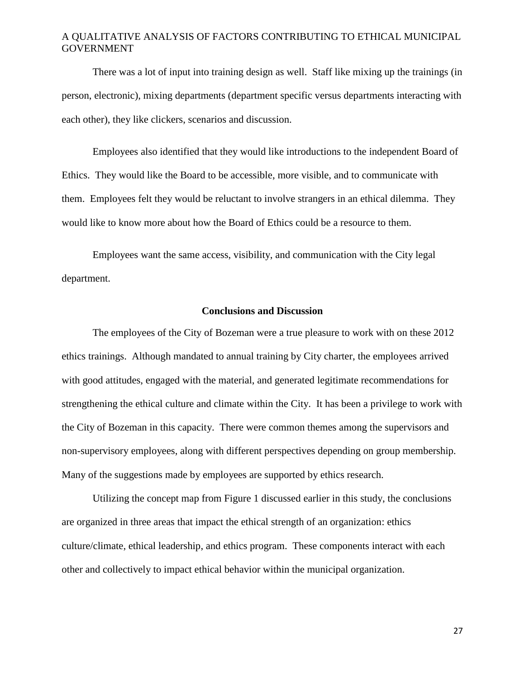There was a lot of input into training design as well. Staff like mixing up the trainings (in person, electronic), mixing departments (department specific versus departments interacting with each other), they like clickers, scenarios and discussion.

Employees also identified that they would like introductions to the independent Board of Ethics. They would like the Board to be accessible, more visible, and to communicate with them. Employees felt they would be reluctant to involve strangers in an ethical dilemma. They would like to know more about how the Board of Ethics could be a resource to them.

Employees want the same access, visibility, and communication with the City legal department.

#### **Conclusions and Discussion**

The employees of the City of Bozeman were a true pleasure to work with on these 2012 ethics trainings. Although mandated to annual training by City charter, the employees arrived with good attitudes, engaged with the material, and generated legitimate recommendations for strengthening the ethical culture and climate within the City. It has been a privilege to work with the City of Bozeman in this capacity. There were common themes among the supervisors and non-supervisory employees, along with different perspectives depending on group membership. Many of the suggestions made by employees are supported by ethics research.

Utilizing the concept map from Figure 1 discussed earlier in this study, the conclusions are organized in three areas that impact the ethical strength of an organization: ethics culture/climate, ethical leadership, and ethics program. These components interact with each other and collectively to impact ethical behavior within the municipal organization.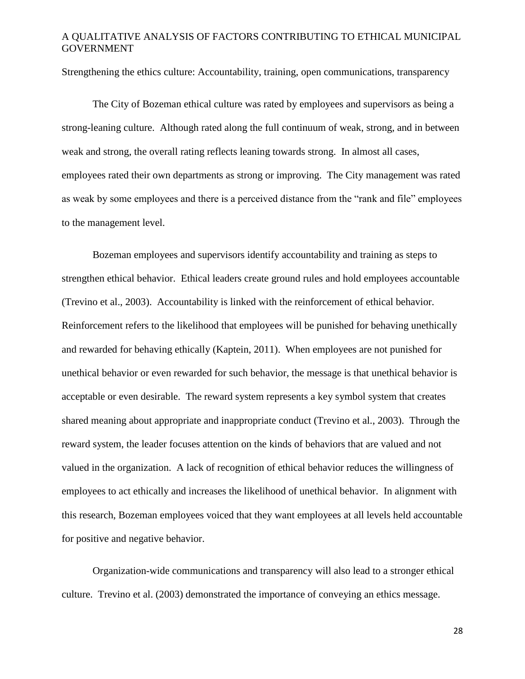Strengthening the ethics culture: Accountability, training, open communications, transparency

The City of Bozeman ethical culture was rated by employees and supervisors as being a strong-leaning culture. Although rated along the full continuum of weak, strong, and in between weak and strong, the overall rating reflects leaning towards strong. In almost all cases, employees rated their own departments as strong or improving. The City management was rated as weak by some employees and there is a perceived distance from the "rank and file" employees to the management level.

Bozeman employees and supervisors identify accountability and training as steps to strengthen ethical behavior. Ethical leaders create ground rules and hold employees accountable (Trevino et al., 2003). Accountability is linked with the reinforcement of ethical behavior. Reinforcement refers to the likelihood that employees will be punished for behaving unethically and rewarded for behaving ethically (Kaptein, 2011). When employees are not punished for unethical behavior or even rewarded for such behavior, the message is that unethical behavior is acceptable or even desirable. The reward system represents a key symbol system that creates shared meaning about appropriate and inappropriate conduct (Trevino et al., 2003). Through the reward system, the leader focuses attention on the kinds of behaviors that are valued and not valued in the organization. A lack of recognition of ethical behavior reduces the willingness of employees to act ethically and increases the likelihood of unethical behavior. In alignment with this research, Bozeman employees voiced that they want employees at all levels held accountable for positive and negative behavior.

Organization-wide communications and transparency will also lead to a stronger ethical culture. Trevino et al. (2003) demonstrated the importance of conveying an ethics message.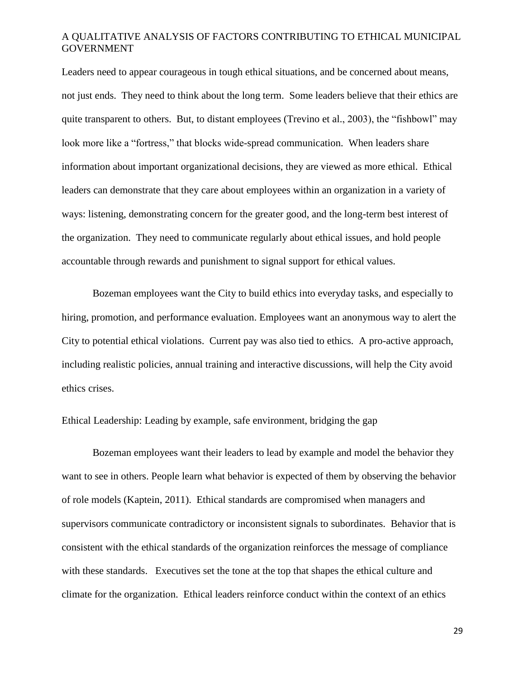Leaders need to appear courageous in tough ethical situations, and be concerned about means, not just ends. They need to think about the long term. Some leaders believe that their ethics are quite transparent to others. But, to distant employees (Trevino et al., 2003), the "fishbowl" may look more like a "fortress," that blocks wide-spread communication. When leaders share information about important organizational decisions, they are viewed as more ethical. Ethical leaders can demonstrate that they care about employees within an organization in a variety of ways: listening, demonstrating concern for the greater good, and the long-term best interest of the organization. They need to communicate regularly about ethical issues, and hold people accountable through rewards and punishment to signal support for ethical values.

Bozeman employees want the City to build ethics into everyday tasks, and especially to hiring, promotion, and performance evaluation. Employees want an anonymous way to alert the City to potential ethical violations. Current pay was also tied to ethics. A pro-active approach, including realistic policies, annual training and interactive discussions, will help the City avoid ethics crises.

Ethical Leadership: Leading by example, safe environment, bridging the gap

Bozeman employees want their leaders to lead by example and model the behavior they want to see in others. People learn what behavior is expected of them by observing the behavior of role models (Kaptein, 2011). Ethical standards are compromised when managers and supervisors communicate contradictory or inconsistent signals to subordinates. Behavior that is consistent with the ethical standards of the organization reinforces the message of compliance with these standards. Executives set the tone at the top that shapes the ethical culture and climate for the organization. Ethical leaders reinforce conduct within the context of an ethics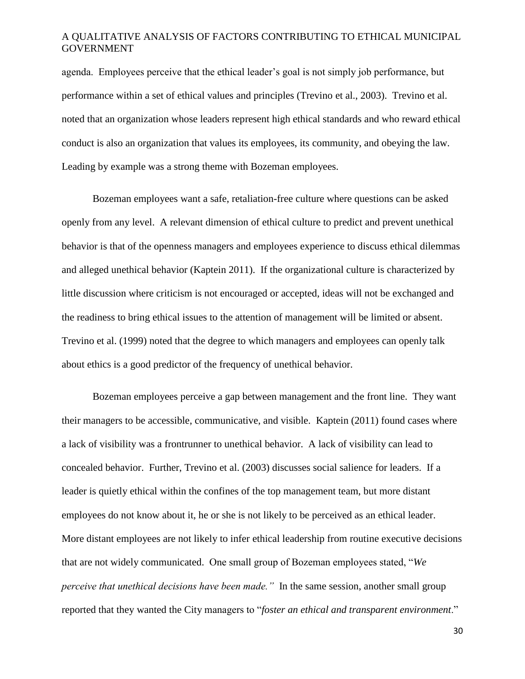agenda. Employees perceive that the ethical leader's goal is not simply job performance, but performance within a set of ethical values and principles (Trevino et al., 2003). Trevino et al. noted that an organization whose leaders represent high ethical standards and who reward ethical conduct is also an organization that values its employees, its community, and obeying the law. Leading by example was a strong theme with Bozeman employees.

Bozeman employees want a safe, retaliation-free culture where questions can be asked openly from any level. A relevant dimension of ethical culture to predict and prevent unethical behavior is that of the openness managers and employees experience to discuss ethical dilemmas and alleged unethical behavior (Kaptein 2011). If the organizational culture is characterized by little discussion where criticism is not encouraged or accepted, ideas will not be exchanged and the readiness to bring ethical issues to the attention of management will be limited or absent. Trevino et al. (1999) noted that the degree to which managers and employees can openly talk about ethics is a good predictor of the frequency of unethical behavior.

Bozeman employees perceive a gap between management and the front line. They want their managers to be accessible, communicative, and visible. Kaptein (2011) found cases where a lack of visibility was a frontrunner to unethical behavior. A lack of visibility can lead to concealed behavior. Further, Trevino et al. (2003) discusses social salience for leaders. If a leader is quietly ethical within the confines of the top management team, but more distant employees do not know about it, he or she is not likely to be perceived as an ethical leader. More distant employees are not likely to infer ethical leadership from routine executive decisions that are not widely communicated. One small group of Bozeman employees stated, "*We perceive that unethical decisions have been made."* In the same session, another small group reported that they wanted the City managers to "*foster an ethical and transparent environment*."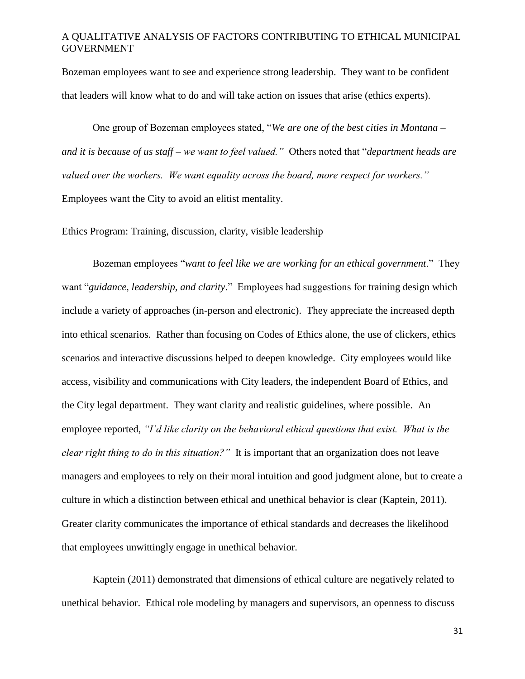Bozeman employees want to see and experience strong leadership. They want to be confident that leaders will know what to do and will take action on issues that arise (ethics experts).

One group of Bozeman employees stated, "*We are one of the best cities in Montana – and it is because of us staff – we want to feel valued."* Others noted that "*department heads are valued over the workers. We want equality across the board, more respect for workers."*  Employees want the City to avoid an elitist mentality.

Ethics Program: Training, discussion, clarity, visible leadership

Bozeman employees "*want to feel like we are working for an ethical government*." They want "*guidance, leadership, and clarity*." Employees had suggestions for training design which include a variety of approaches (in-person and electronic). They appreciate the increased depth into ethical scenarios. Rather than focusing on Codes of Ethics alone, the use of clickers, ethics scenarios and interactive discussions helped to deepen knowledge. City employees would like access, visibility and communications with City leaders, the independent Board of Ethics, and the City legal department. They want clarity and realistic guidelines, where possible. An employee reported, *"I'd like clarity on the behavioral ethical questions that exist. What is the clear right thing to do in this situation?"* It is important that an organization does not leave managers and employees to rely on their moral intuition and good judgment alone, but to create a culture in which a distinction between ethical and unethical behavior is clear (Kaptein, 2011). Greater clarity communicates the importance of ethical standards and decreases the likelihood that employees unwittingly engage in unethical behavior.

Kaptein (2011) demonstrated that dimensions of ethical culture are negatively related to unethical behavior. Ethical role modeling by managers and supervisors, an openness to discuss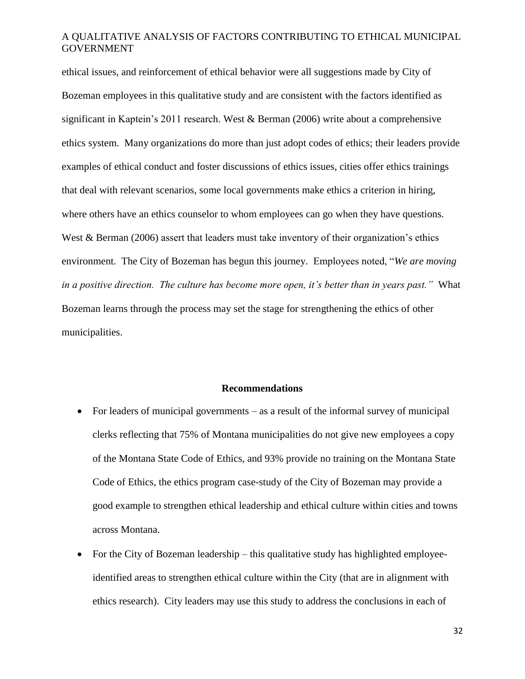ethical issues, and reinforcement of ethical behavior were all suggestions made by City of Bozeman employees in this qualitative study and are consistent with the factors identified as significant in Kaptein's 2011 research. West & Berman (2006) write about a comprehensive ethics system. Many organizations do more than just adopt codes of ethics; their leaders provide examples of ethical conduct and foster discussions of ethics issues, cities offer ethics trainings that deal with relevant scenarios, some local governments make ethics a criterion in hiring, where others have an ethics counselor to whom employees can go when they have questions. West & Berman (2006) assert that leaders must take inventory of their organization's ethics environment. The City of Bozeman has begun this journey. Employees noted, "*We are moving in a positive direction. The culture has become more open, it's better than in years past."* What Bozeman learns through the process may set the stage for strengthening the ethics of other municipalities.

#### **Recommendations**

- For leaders of municipal governments as a result of the informal survey of municipal clerks reflecting that 75% of Montana municipalities do not give new employees a copy of the Montana State Code of Ethics, and 93% provide no training on the Montana State Code of Ethics, the ethics program case-study of the City of Bozeman may provide a good example to strengthen ethical leadership and ethical culture within cities and towns across Montana.
- For the City of Bozeman leadership this qualitative study has highlighted employeeidentified areas to strengthen ethical culture within the City (that are in alignment with ethics research). City leaders may use this study to address the conclusions in each of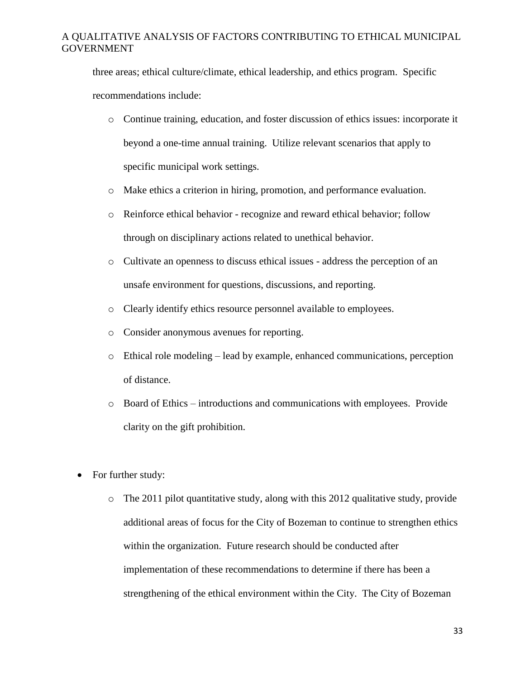three areas; ethical culture/climate, ethical leadership, and ethics program. Specific recommendations include:

- o Continue training, education, and foster discussion of ethics issues: incorporate it beyond a one-time annual training. Utilize relevant scenarios that apply to specific municipal work settings.
- o Make ethics a criterion in hiring, promotion, and performance evaluation.
- o Reinforce ethical behavior recognize and reward ethical behavior; follow through on disciplinary actions related to unethical behavior.
- o Cultivate an openness to discuss ethical issues address the perception of an unsafe environment for questions, discussions, and reporting.
- o Clearly identify ethics resource personnel available to employees.
- o Consider anonymous avenues for reporting.
- $\circ$  Ethical role modeling lead by example, enhanced communications, perception of distance.
- o Board of Ethics introductions and communications with employees. Provide clarity on the gift prohibition.
- For further study:
	- o The 2011 pilot quantitative study, along with this 2012 qualitative study, provide additional areas of focus for the City of Bozeman to continue to strengthen ethics within the organization. Future research should be conducted after implementation of these recommendations to determine if there has been a strengthening of the ethical environment within the City. The City of Bozeman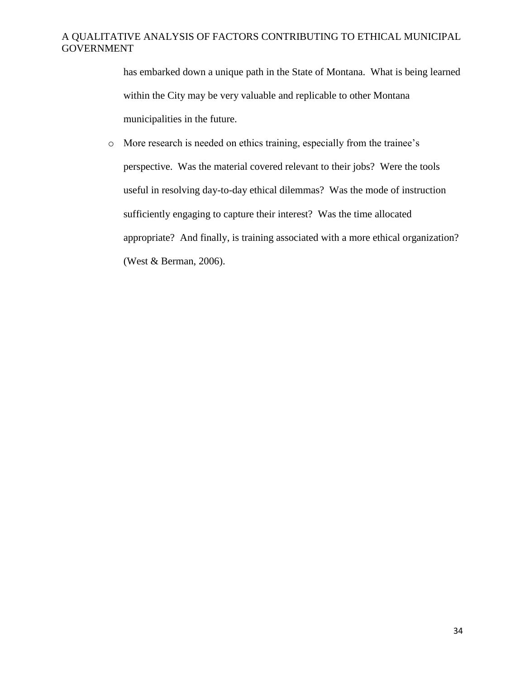has embarked down a unique path in the State of Montana. What is being learned within the City may be very valuable and replicable to other Montana municipalities in the future.

o More research is needed on ethics training, especially from the trainee's perspective. Was the material covered relevant to their jobs? Were the tools useful in resolving day-to-day ethical dilemmas? Was the mode of instruction sufficiently engaging to capture their interest? Was the time allocated appropriate? And finally, is training associated with a more ethical organization? (West & Berman, 2006).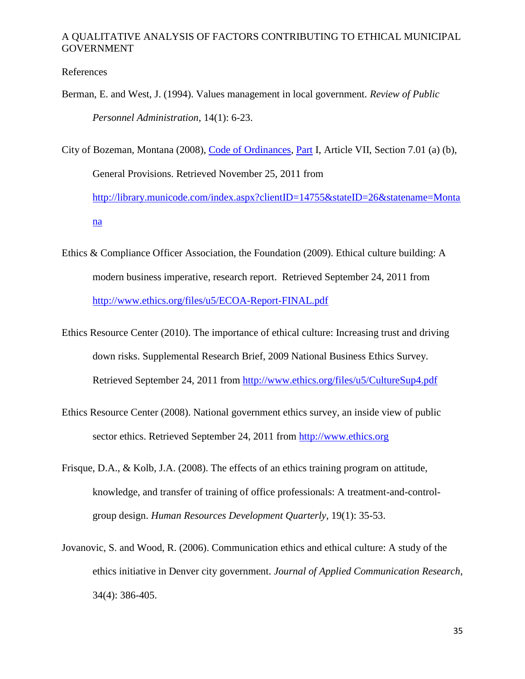References

Berman, E. and West, J. (1994). Values management in local government. *Review of Public Personnel Administration*, 14(1): 6-23.

City of Bozeman, Montana (2008), [Code of Ordinances,](http://library.municode.com/HTML/14755/book.html) [Part](http://library.municode.com/HTML/14755/level1/PTICH.html) I, Article VII, Section 7.01 (a) (b), General Provisions. Retrieved November 25, 2011 from [http://library.municode.com/index.aspx?clientID=14755&stateID=26&statename=Monta](http://library.municode.com/index.aspx?clientID=14755&stateID=26&statename=Montana) [na](http://library.municode.com/index.aspx?clientID=14755&stateID=26&statename=Montana)

- Ethics & Compliance Officer Association, the Foundation (2009). Ethical culture building: A modern business imperative, research report. Retrieved September 24, 2011 from <http://www.ethics.org/files/u5/ECOA-Report-FINAL.pdf>
- Ethics Resource Center (2010). The importance of ethical culture: Increasing trust and driving down risks. Supplemental Research Brief, 2009 National Business Ethics Survey. Retrieved September 24, 2011 from<http://www.ethics.org/files/u5/CultureSup4.pdf>
- Ethics Resource Center (2008). National government ethics survey, an inside view of public sector ethics. Retrieved September 24, 2011 from [http://www.ethics.org](http://www.ethics.org/)
- Frisque, D.A., & Kolb, J.A. (2008). The effects of an ethics training program on attitude, knowledge, and transfer of training of office professionals: A treatment-and-controlgroup design. *Human Resources Development Quarterly*, 19(1): 35-53.
- Jovanovic, S. and Wood, R. (2006). Communication ethics and ethical culture: A study of the ethics initiative in Denver city government. *Journal of Applied Communication Research*, 34(4): 386-405.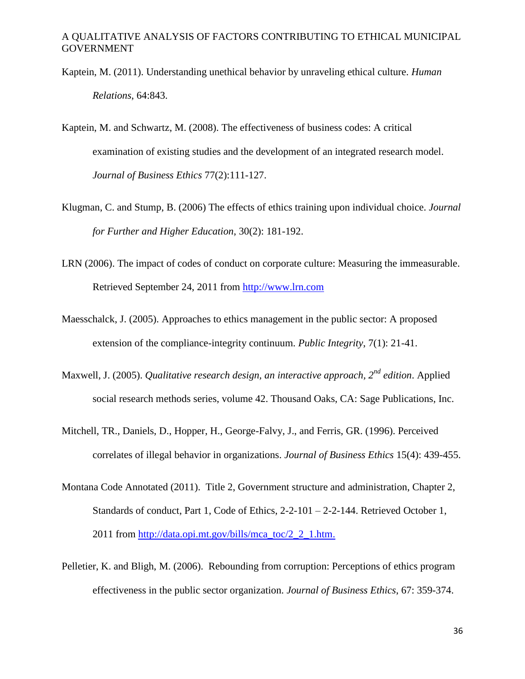- Kaptein, M. (2011). Understanding unethical behavior by unraveling ethical culture. *Human Relations*, 64:843.
- Kaptein, M. and Schwartz, M. (2008). The effectiveness of business codes: A critical examination of existing studies and the development of an integrated research model. *Journal of Business Ethics* 77(2):111-127.
- Klugman, C. and Stump, B. (2006) The effects of ethics training upon individual choice. *Journal for Further and Higher Education*, 30(2): 181-192.
- LRN (2006). The impact of codes of conduct on corporate culture: Measuring the immeasurable. Retrieved September 24, 2011 from [http://www.lrn.com](http://www.lrn.com/)
- Maesschalck, J. (2005). Approaches to ethics management in the public sector: A proposed extension of the compliance-integrity continuum. *Public Integrity*, 7(1): 21-41.
- Maxwell, J. (2005). *Qualitative research design, an interactive approach, 2nd edition*. Applied social research methods series, volume 42. Thousand Oaks, CA: Sage Publications, Inc.
- Mitchell, TR., Daniels, D., Hopper, H., George-Falvy, J., and Ferris, GR. (1996). Perceived correlates of illegal behavior in organizations. *Journal of Business Ethics* 15(4): 439-455.
- Montana Code Annotated (2011). Title 2, Government structure and administration, Chapter 2, Standards of conduct, Part 1, Code of Ethics, 2-2-101 – 2-2-144. Retrieved October 1, 2011 from [http://data.opi.mt.gov/bills/mca\\_toc/2\\_2\\_1.htm.](http://data.opi.mt.gov/bills/mca_toc/2_2_1.htm)
- Pelletier, K. and Bligh, M. (2006). Rebounding from corruption: Perceptions of ethics program effectiveness in the public sector organization. *Journal of Business Ethics*, 67: 359-374.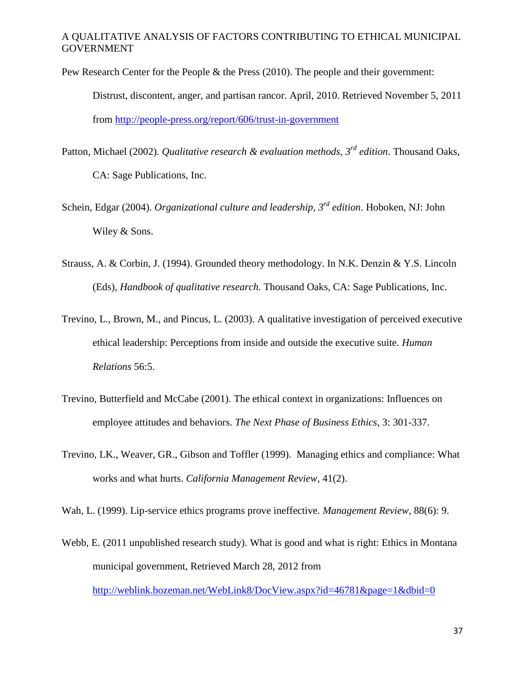Pew Research Center for the People & the Press (2010). The people and their government:

Distrust, discontent, anger, and partisan rancor. April, 2010. Retrieved November 5, 2011 from<http://people-press.org/report/606/trust-in-government>

Patton, Michael (2002). *Qualitative research & evaluation methods, 3rd edition*. Thousand Oaks, CA: Sage Publications, Inc.

Schein, Edgar (2004). *Organizational culture and leadership, 3rd edition*. Hoboken, NJ: John Wiley & Sons.

- Strauss, A. & Corbin, J. (1994). Grounded theory methodology. In N.K. Denzin & Y.S. Lincoln (Eds), *Handbook of qualitative research*. Thousand Oaks, CA: Sage Publications, Inc.
- Trevino, L., Brown, M., and Pincus, L. (2003). A qualitative investigation of perceived executive ethical leadership: Perceptions from inside and outside the executive suite. *Human Relations* 56:5.
- Trevino, Butterfield and McCabe (2001). The ethical context in organizations: Influences on employee attitudes and behaviors. *The Next Phase of Business Ethics*, 3: 301-337.
- Trevino, LK., Weaver, GR., Gibson and Toffler (1999). Managing ethics and compliance: What works and what hurts. *California Management Review*, 41(2).

Wah, L. (1999). Lip-service ethics programs prove ineffective. *Management Review*, 88(6): 9.

Webb, E. (2011 unpublished research study). What is good and what is right: Ethics in Montana municipal government, Retrieved March 28, 2012 from

<http://weblink.bozeman.net/WebLink8/DocView.aspx?id=46781&page=1&dbid=0>